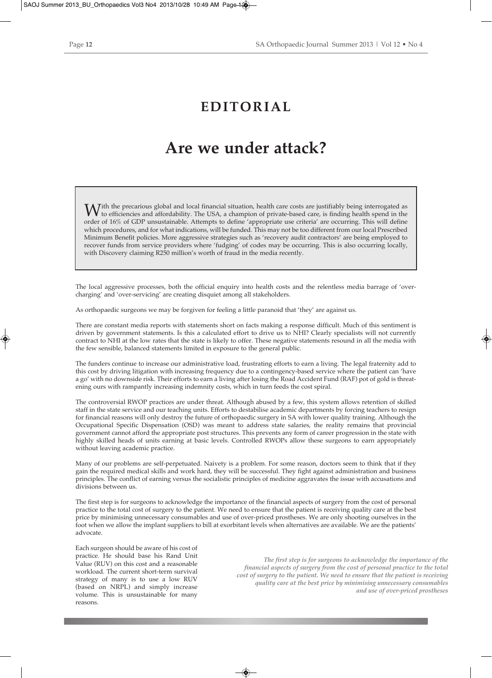## **EDITORIAL**

## **Are we under attack?**

With the precarious global and local financial situation, health care costs are justifiably being interrogated as to efficiencies and affordability. The USA, a champion of private-based care, is finding health spend in the order of 16% of GDP unsustainable. Attempts to define 'appropriate use criteria' are occurring. This will define which procedures, and for what indications, will be funded. This may not be too different from our local Prescribed Minimum Benefit policies. More aggressive strategies such as 'recovery audit contractors' are being employed to recover funds from service providers where 'fudging' of codes may be occurring. This is also occurring locally, with Discovery claiming R250 million's worth of fraud in the media recently.

The local aggressive processes, both the official enquiry into health costs and the relentless media barrage of 'overcharging' and 'over-servicing' are creating disquiet among all stakeholders.

As orthopaedic surgeons we may be forgiven for feeling a little paranoid that 'they' are against us.

There are constant media reports with statements short on facts making a response difficult. Much of this sentiment is driven by government statements. Is this a calculated effort to drive us to NHI? Clearly specialists will not currently contract to NHI at the low rates that the state is likely to offer. These negative statements resound in all the media with the few sensible, balanced statements limited in exposure to the general public.

The funders continue to increase our administrative load, frustrating efforts to earn a living. The legal fraternity add to this cost by driving litigation with increasing frequency due to a contingency-based service where the patient can 'have a go' with no downside risk. Their efforts to earn a living after losing the Road Accident Fund (RAF) pot of gold is threatening ours with rampantly increasing indemnity costs, which in turn feeds the cost spiral.

The controversial RWOP practices are under threat. Although abused by a few, this system allows retention of skilled staff in the state service and our teaching units. Efforts to destabilise academic departments by forcing teachers to resign for financial reasons will only destroy the future of orthopaedic surgery in SA with lower quality training. Although the Occupational Specific Dispensation (OSD) was meant to address state salaries, the reality remains that provincial government cannot afford the appropriate post structures. This prevents any form of career progression in the state with highly skilled heads of units earning at basic levels. Controlled RWOPs allow these surgeons to earn appropriately without leaving academic practice.

Many of our problems are self-perpetuated. Naivety is a problem. For some reason, doctors seem to think that if they gain the required medical skills and work hard, they will be successful. They fight against administration and business principles. The conflict of earning versus the socialistic principles of medicine aggravates the issue with accusations and divisions between us.

The first step is for surgeons to acknowledge the importance of the financial aspects of surgery from the cost of personal practice to the total cost of surgery to the patient. We need to ensure that the patient is receiving quality care at the best price by minimising unnecessary consumables and use of over-priced prostheses. We are only shooting ourselves in the foot when we allow the implant suppliers to bill at exorbitant levels when alternatives are available. We are the patients' advocate.

Each surgeon should be aware of his cost of practice. He should base his Rand Unit Value (RUV) on this cost and a reasonable workload. The current short-term survival strategy of many is to use a low RUV (based on NRPL) and simply increase volume. This is unsustainable for many reasons.

*The first step is for surgeons to acknowledge the importance of the financial aspects of surgery from the cost of personal practice to the total cost of surgery to the patient. We need to ensure that the patient is receiving quality care at the best price by minimising unnecessary consumables and use of over-priced prostheses*